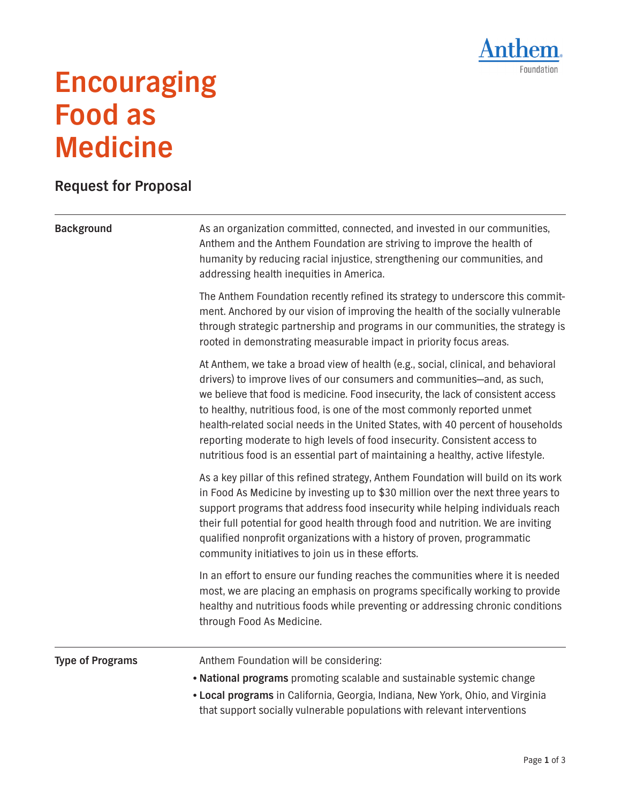

## **Encouraging Food as Medicine**

## **Request for Proposal**

## Background **As an organization committed, connected, and invested in our communities,** Anthem and the Anthem Foundation are striving to improve the health of humanity by reducing racial injustice, strengthening our communities, and addressing health inequities in America. The Anthem Foundation recently refined its strategy to underscore this commitment. Anchored by our vision of improving the health of the socially vulnerable through strategic partnership and programs in our communities, the strategy is rooted in demonstrating measurable impact in priority focus areas. At Anthem, we take a broad view of health (e.g., social, clinical, and behavioral drivers) to improve lives of our consumers and communities—and, as such, we believe that food is medicine. Food insecurity, the lack of consistent access to healthy, nutritious food, is one of the most commonly reported unmet health-related social needs in the United States, with 40 percent of households reporting moderate to high levels of food insecurity. Consistent access to nutritious food is an essential part of maintaining a healthy, active lifestyle. As a key pillar of this refined strategy, Anthem Foundation will build on its work in Food As Medicine by investing up to \$30 million over the next three years to support programs that address food insecurity while helping individuals reach their full potential for good health through food and nutrition. We are inviting qualified nonprofit organizations with a history of proven, programmatic community initiatives to join us in these efforts. In an effort to ensure our funding reaches the communities where it is needed most, we are placing an emphasis on programs specifically working to provide healthy and nutritious foods while preventing or addressing chronic conditions through Food As Medicine. **Type of Programs** Anthem Foundation will be considering: • **National programs** promoting scalable and sustainable systemic change • **Local programs** in California, Georgia, Indiana, New York, Ohio, and Virginia that support socially vulnerable populations with relevant interventions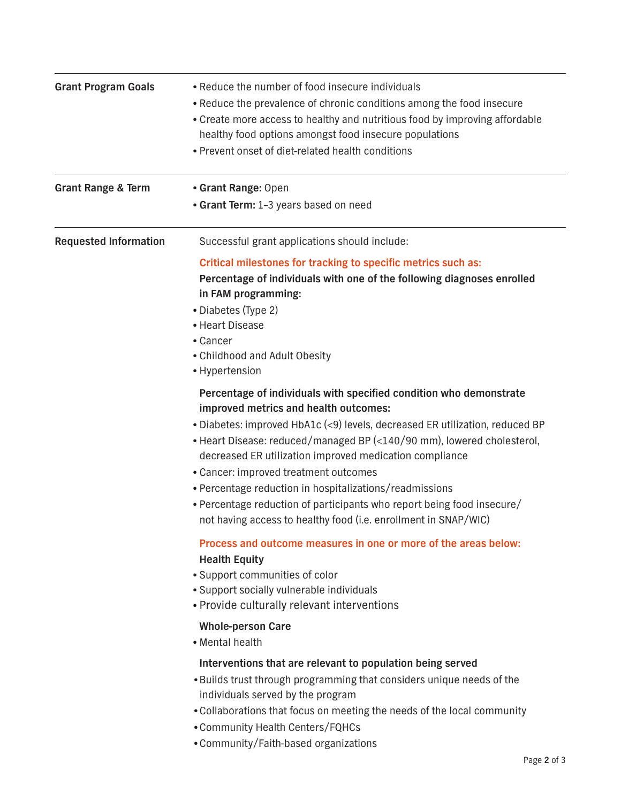| <b>Grant Program Goals</b>    | • Reduce the number of food insecure individuals<br>• Reduce the prevalence of chronic conditions among the food insecure<br>• Create more access to healthy and nutritious food by improving affordable<br>healthy food options amongst food insecure populations<br>• Prevent onset of diet-related health conditions                                                                                                                                                                                                                                                           |
|-------------------------------|-----------------------------------------------------------------------------------------------------------------------------------------------------------------------------------------------------------------------------------------------------------------------------------------------------------------------------------------------------------------------------------------------------------------------------------------------------------------------------------------------------------------------------------------------------------------------------------|
| <b>Grant Range &amp; Term</b> | • Grant Range: Open<br>• Grant Term: 1-3 years based on need                                                                                                                                                                                                                                                                                                                                                                                                                                                                                                                      |
| <b>Requested Information</b>  | Successful grant applications should include:<br>Critical milestones for tracking to specific metrics such as:<br>Percentage of individuals with one of the following diagnoses enrolled<br>in FAM programming:<br>• Diabetes (Type 2)<br>• Heart Disease                                                                                                                                                                                                                                                                                                                         |
|                               | • Cancer<br>• Childhood and Adult Obesity<br>• Hypertension                                                                                                                                                                                                                                                                                                                                                                                                                                                                                                                       |
|                               | Percentage of individuals with specified condition who demonstrate<br>improved metrics and health outcomes:<br>. Diabetes: improved HbA1c (<9) levels, decreased ER utilization, reduced BP<br>• Heart Disease: reduced/managed BP (<140/90 mm), lowered cholesterol,<br>decreased ER utilization improved medication compliance<br>• Cancer: improved treatment outcomes<br>• Percentage reduction in hospitalizations/readmissions<br>• Percentage reduction of participants who report being food insecure/<br>not having access to healthy food (i.e. enrollment in SNAP/WIC) |
|                               | Process and outcome measures in one or more of the areas below:<br><b>Health Equity</b><br>• Support communities of color<br>• Support socially vulnerable individuals<br>• Provide culturally relevant interventions<br><b>Whole-person Care</b>                                                                                                                                                                                                                                                                                                                                 |
|                               | • Mental health<br>Interventions that are relevant to population being served<br>. Builds trust through programming that considers unique needs of the<br>individuals served by the program<br>. Collaborations that focus on meeting the needs of the local community<br>• Community Health Centers/FQHCs<br>• Community/Faith-based organizations                                                                                                                                                                                                                               |